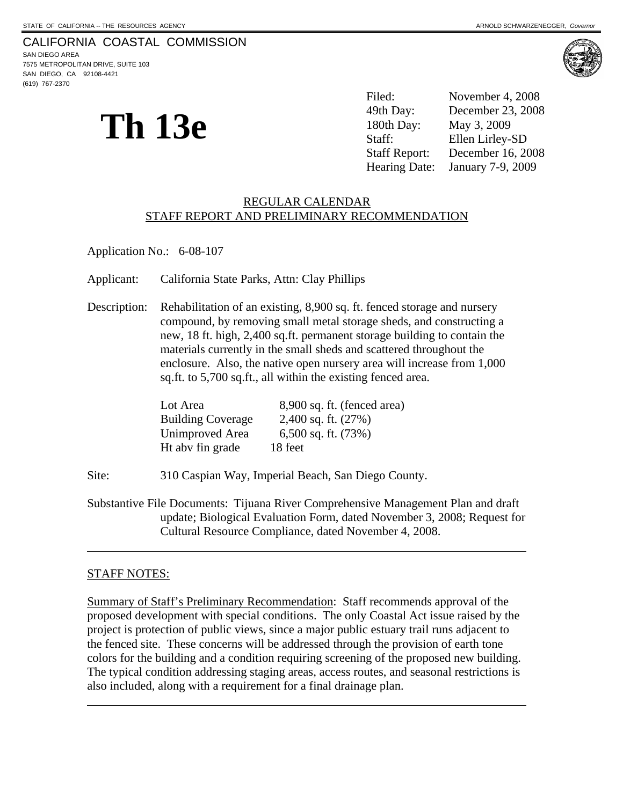# CALIFORNIA COASTAL COMMISSION

SAN DIEGO AREA 7575 METROPOLITAN DRIVE, SUITE 103 SAN DIEGO, CA 92108-4421 (619) 767-2370



**Th 13e** 

Filed: November 4, 2008 49th Day: December 23, 2008 180th Day: May 3, 2009 Staff: Ellen Lirley-SD Staff Report: December 16, 2008 Hearing Date: January 7-9, 2009

#### REGULAR CALENDAR STAFF REPORT AND PRELIMINARY RECOMMENDATION

Application No.: 6-08-107

Applicant: California State Parks, Attn: Clay Phillips

Description: Rehabilitation of an existing, 8,900 sq. ft. fenced storage and nursery compound, by removing small metal storage sheds, and constructing a new, 18 ft. high, 2,400 sq.ft. permanent storage building to contain the materials currently in the small sheds and scattered throughout the enclosure. Also, the native open nursery area will increase from 1,000 sq.ft. to 5,700 sq.ft., all within the existing fenced area.

| Lot Area                 | 8,900 sq. ft. (fenced area) |
|--------------------------|-----------------------------|
| <b>Building Coverage</b> | 2,400 sq. ft. $(27%)$       |
| Unimproved Area          | 6,500 sq. ft. $(73%)$       |
| Ht aby fin grade         | 18 feet                     |

Site: 310 Caspian Way, Imperial Beach, San Diego County.

Substantive File Documents: Tijuana River Comprehensive Management Plan and draft update; Biological Evaluation Form, dated November 3, 2008; Request for Cultural Resource Compliance, dated November 4, 2008.

#### STAFF NOTES:

 $\overline{a}$ 

 $\overline{a}$ 

Summary of Staff's Preliminary Recommendation: Staff recommends approval of the proposed development with special conditions. The only Coastal Act issue raised by the project is protection of public views, since a major public estuary trail runs adjacent to the fenced site. These concerns will be addressed through the provision of earth tone colors for the building and a condition requiring screening of the proposed new building. The typical condition addressing staging areas, access routes, and seasonal restrictions is also included, along with a requirement for a final drainage plan.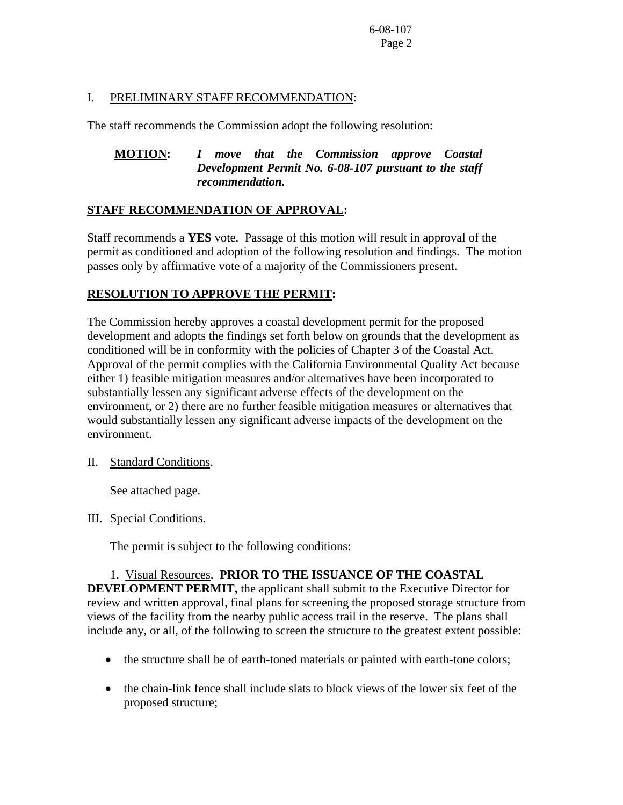## I. PRELIMINARY STAFF RECOMMENDATION:

The staff recommends the Commission adopt the following resolution:

## **MOTION:** *I move that the Commission approve Coastal Development Permit No. 6-08-107 pursuant to the staff recommendation.*

## **STAFF RECOMMENDATION OF APPROVAL:**

Staff recommends a **YES** vote. Passage of this motion will result in approval of the permit as conditioned and adoption of the following resolution and findings. The motion passes only by affirmative vote of a majority of the Commissioners present.

## **RESOLUTION TO APPROVE THE PERMIT:**

The Commission hereby approves a coastal development permit for the proposed development and adopts the findings set forth below on grounds that the development as conditioned will be in conformity with the policies of Chapter 3 of the Coastal Act. Approval of the permit complies with the California Environmental Quality Act because either 1) feasible mitigation measures and/or alternatives have been incorporated to substantially lessen any significant adverse effects of the development on the environment, or 2) there are no further feasible mitigation measures or alternatives that would substantially lessen any significant adverse impacts of the development on the environment.

## II. Standard Conditions.

See attached page.

#### III. Special Conditions.

The permit is subject to the following conditions:

## 1. Visual Resources. **PRIOR TO THE ISSUANCE OF THE COASTAL DEVELOPMENT PERMIT,** the applicant shall submit to the Executive Director for review and written approval, final plans for screening the proposed storage structure from views of the facility from the nearby public access trail in the reserve. The plans shall include any, or all, of the following to screen the structure to the greatest extent possible:

- the structure shall be of earth-toned materials or painted with earth-tone colors;
- the chain-link fence shall include slats to block views of the lower six feet of the proposed structure;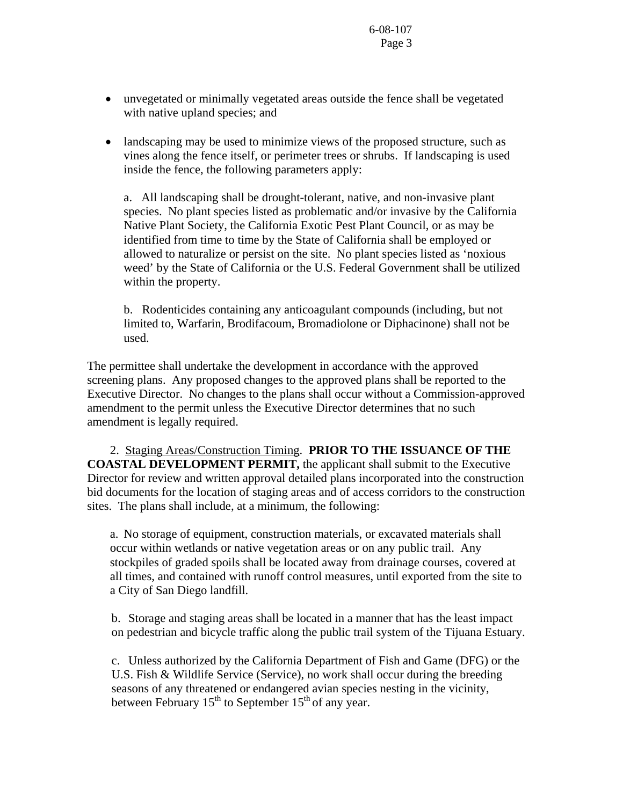- unvegetated or minimally vegetated areas outside the fence shall be vegetated with native upland species; and
- landscaping may be used to minimize views of the proposed structure, such as vines along the fence itself, or perimeter trees or shrubs. If landscaping is used inside the fence, the following parameters apply:

a. All landscaping shall be drought-tolerant, native, and non-invasive plant species. No plant species listed as problematic and/or invasive by the California Native Plant Society, the California Exotic Pest Plant Council, or as may be identified from time to time by the State of California shall be employed or allowed to naturalize or persist on the site. No plant species listed as 'noxious weed' by the State of California or the U.S. Federal Government shall be utilized within the property.

b. Rodenticides containing any anticoagulant compounds (including, but not limited to, Warfarin, Brodifacoum, Bromadiolone or Diphacinone) shall not be used.

The permittee shall undertake the development in accordance with the approved screening plans. Any proposed changes to the approved plans shall be reported to the Executive Director. No changes to the plans shall occur without a Commission-approved amendment to the permit unless the Executive Director determines that no such amendment is legally required.

 2. Staging Areas/Construction Timing. **PRIOR TO THE ISSUANCE OF THE COASTAL DEVELOPMENT PERMIT,** the applicant shall submit to the Executive Director for review and written approval detailed plans incorporated into the construction bid documents for the location of staging areas and of access corridors to the construction sites. The plans shall include, at a minimum, the following:

a. No storage of equipment, construction materials, or excavated materials shall occur within wetlands or native vegetation areas or on any public trail. Any stockpiles of graded spoils shall be located away from drainage courses, covered at all times, and contained with runoff control measures, until exported from the site to a City of San Diego landfill.

 b. Storage and staging areas shall be located in a manner that has the least impact on pedestrian and bicycle traffic along the public trail system of the Tijuana Estuary.

c. Unless authorized by the California Department of Fish and Game (DFG) or the U.S. Fish & Wildlife Service (Service), no work shall occur during the breeding seasons of any threatened or endangered avian species nesting in the vicinity, between February  $15<sup>th</sup>$  to September  $15<sup>th</sup>$  of any year.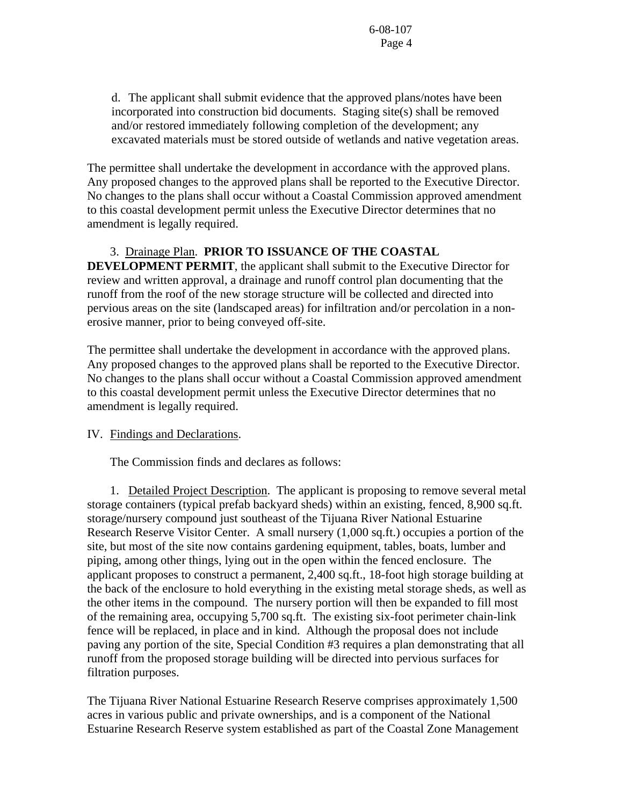d. The applicant shall submit evidence that the approved plans/notes have been incorporated into construction bid documents. Staging site(s) shall be removed and/or restored immediately following completion of the development; any excavated materials must be stored outside of wetlands and native vegetation areas.

The permittee shall undertake the development in accordance with the approved plans. Any proposed changes to the approved plans shall be reported to the Executive Director. No changes to the plans shall occur without a Coastal Commission approved amendment to this coastal development permit unless the Executive Director determines that no amendment is legally required.

#### 3. Drainage Plan. **PRIOR TO ISSUANCE OF THE COASTAL**

**DEVELOPMENT PERMIT**, the applicant shall submit to the Executive Director for review and written approval, a drainage and runoff control plan documenting that the runoff from the roof of the new storage structure will be collected and directed into pervious areas on the site (landscaped areas) for infiltration and/or percolation in a nonerosive manner, prior to being conveyed off-site.

The permittee shall undertake the development in accordance with the approved plans. Any proposed changes to the approved plans shall be reported to the Executive Director. No changes to the plans shall occur without a Coastal Commission approved amendment to this coastal development permit unless the Executive Director determines that no amendment is legally required.

#### IV. Findings and Declarations.

The Commission finds and declares as follows:

 1. Detailed Project Description. The applicant is proposing to remove several metal storage containers (typical prefab backyard sheds) within an existing, fenced, 8,900 sq.ft. storage/nursery compound just southeast of the Tijuana River National Estuarine Research Reserve Visitor Center. A small nursery (1,000 sq.ft.) occupies a portion of the site, but most of the site now contains gardening equipment, tables, boats, lumber and piping, among other things, lying out in the open within the fenced enclosure. The applicant proposes to construct a permanent, 2,400 sq.ft., 18-foot high storage building at the back of the enclosure to hold everything in the existing metal storage sheds, as well as the other items in the compound. The nursery portion will then be expanded to fill most of the remaining area, occupying 5,700 sq.ft. The existing six-foot perimeter chain-link fence will be replaced, in place and in kind. Although the proposal does not include paving any portion of the site, Special Condition #3 requires a plan demonstrating that all runoff from the proposed storage building will be directed into pervious surfaces for filtration purposes.

The Tijuana River National Estuarine Research Reserve comprises approximately 1,500 acres in various public and private ownerships, and is a component of the National Estuarine Research Reserve system established as part of the Coastal Zone Management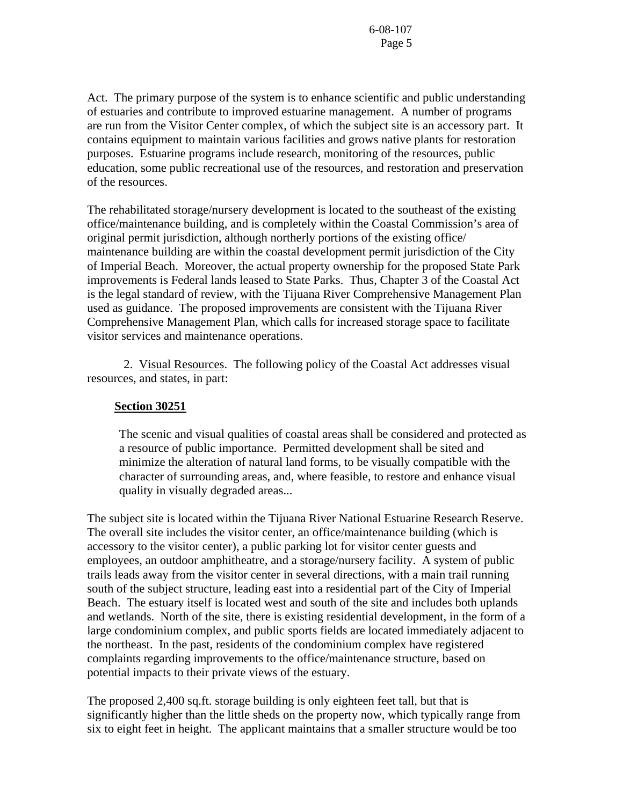Act. The primary purpose of the system is to enhance scientific and public understanding of estuaries and contribute to improved estuarine management. A number of programs are run from the Visitor Center complex, of which the subject site is an accessory part. It contains equipment to maintain various facilities and grows native plants for restoration purposes. Estuarine programs include research, monitoring of the resources, public education, some public recreational use of the resources, and restoration and preservation of the resources.

The rehabilitated storage/nursery development is located to the southeast of the existing office/maintenance building, and is completely within the Coastal Commission's area of original permit jurisdiction, although northerly portions of the existing office/ maintenance building are within the coastal development permit jurisdiction of the City of Imperial Beach. Moreover, the actual property ownership for the proposed State Park improvements is Federal lands leased to State Parks. Thus, Chapter 3 of the Coastal Act is the legal standard of review, with the Tijuana River Comprehensive Management Plan used as guidance. The proposed improvements are consistent with the Tijuana River Comprehensive Management Plan, which calls for increased storage space to facilitate visitor services and maintenance operations.

 2. Visual Resources. The following policy of the Coastal Act addresses visual resources, and states, in part:

#### **Section 30251**

 The scenic and visual qualities of coastal areas shall be considered and protected as a resource of public importance. Permitted development shall be sited and minimize the alteration of natural land forms, to be visually compatible with the character of surrounding areas, and, where feasible, to restore and enhance visual quality in visually degraded areas...

The subject site is located within the Tijuana River National Estuarine Research Reserve. The overall site includes the visitor center, an office/maintenance building (which is accessory to the visitor center), a public parking lot for visitor center guests and employees, an outdoor amphitheatre, and a storage/nursery facility. A system of public trails leads away from the visitor center in several directions, with a main trail running south of the subject structure, leading east into a residential part of the City of Imperial Beach. The estuary itself is located west and south of the site and includes both uplands and wetlands. North of the site, there is existing residential development, in the form of a large condominium complex, and public sports fields are located immediately adjacent to the northeast. In the past, residents of the condominium complex have registered complaints regarding improvements to the office/maintenance structure, based on potential impacts to their private views of the estuary.

The proposed 2,400 sq.ft. storage building is only eighteen feet tall, but that is significantly higher than the little sheds on the property now, which typically range from six to eight feet in height. The applicant maintains that a smaller structure would be too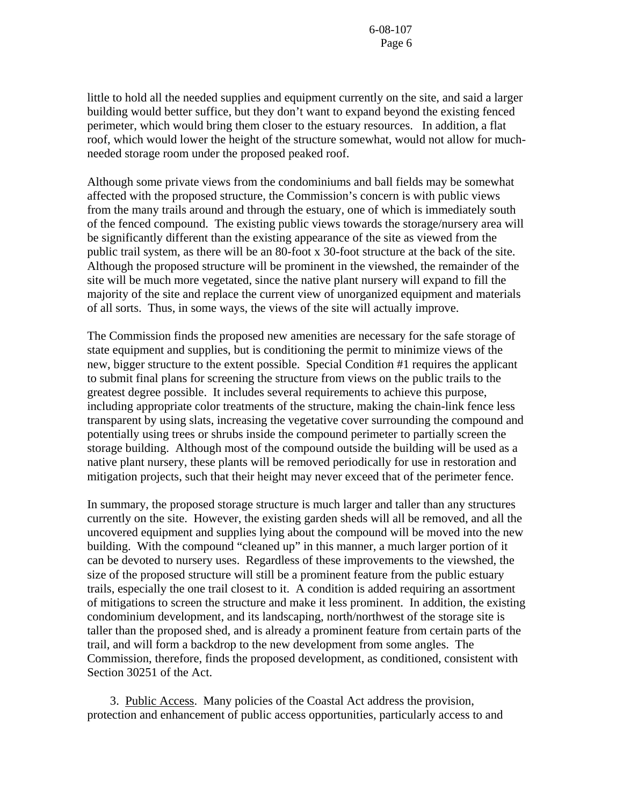little to hold all the needed supplies and equipment currently on the site, and said a larger building would better suffice, but they don't want to expand beyond the existing fenced perimeter, which would bring them closer to the estuary resources. In addition, a flat roof, which would lower the height of the structure somewhat, would not allow for muchneeded storage room under the proposed peaked roof.

Although some private views from the condominiums and ball fields may be somewhat affected with the proposed structure, the Commission's concern is with public views from the many trails around and through the estuary, one of which is immediately south of the fenced compound. The existing public views towards the storage/nursery area will be significantly different than the existing appearance of the site as viewed from the public trail system, as there will be an 80-foot x 30-foot structure at the back of the site. Although the proposed structure will be prominent in the viewshed, the remainder of the site will be much more vegetated, since the native plant nursery will expand to fill the majority of the site and replace the current view of unorganized equipment and materials of all sorts. Thus, in some ways, the views of the site will actually improve.

The Commission finds the proposed new amenities are necessary for the safe storage of state equipment and supplies, but is conditioning the permit to minimize views of the new, bigger structure to the extent possible. Special Condition #1 requires the applicant to submit final plans for screening the structure from views on the public trails to the greatest degree possible. It includes several requirements to achieve this purpose, including appropriate color treatments of the structure, making the chain-link fence less transparent by using slats, increasing the vegetative cover surrounding the compound and potentially using trees or shrubs inside the compound perimeter to partially screen the storage building. Although most of the compound outside the building will be used as a native plant nursery, these plants will be removed periodically for use in restoration and mitigation projects, such that their height may never exceed that of the perimeter fence.

In summary, the proposed storage structure is much larger and taller than any structures currently on the site. However, the existing garden sheds will all be removed, and all the uncovered equipment and supplies lying about the compound will be moved into the new building. With the compound "cleaned up" in this manner, a much larger portion of it can be devoted to nursery uses. Regardless of these improvements to the viewshed, the size of the proposed structure will still be a prominent feature from the public estuary trails, especially the one trail closest to it. A condition is added requiring an assortment of mitigations to screen the structure and make it less prominent. In addition, the existing condominium development, and its landscaping, north/northwest of the storage site is taller than the proposed shed, and is already a prominent feature from certain parts of the trail, and will form a backdrop to the new development from some angles. The Commission, therefore, finds the proposed development, as conditioned, consistent with Section 30251 of the Act.

 3. Public Access. Many policies of the Coastal Act address the provision, protection and enhancement of public access opportunities, particularly access to and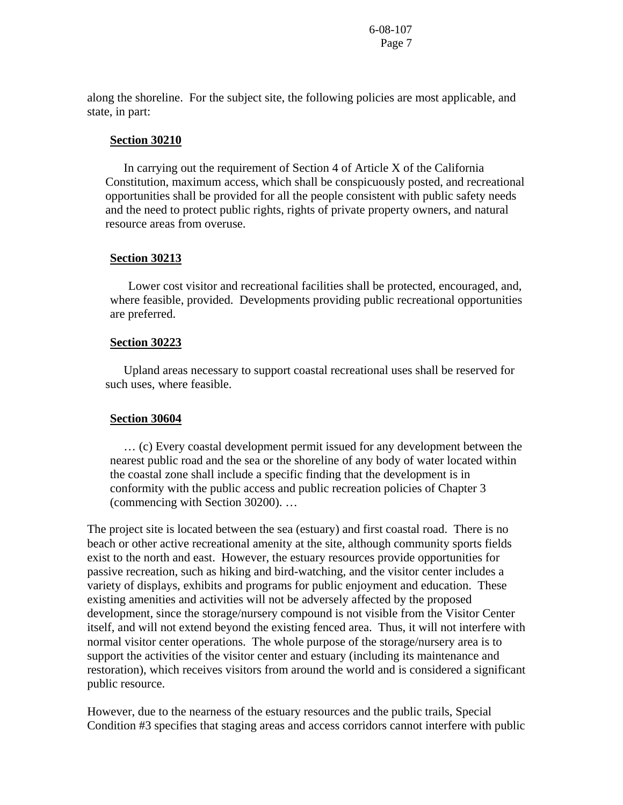along the shoreline. For the subject site, the following policies are most applicable, and state, in part:

#### **Section 30210**

 In carrying out the requirement of Section 4 of Article X of the California Constitution, maximum access, which shall be conspicuously posted, and recreational opportunities shall be provided for all the people consistent with public safety needs and the need to protect public rights, rights of private property owners, and natural resource areas from overuse.

#### **Section 30213**

 Lower cost visitor and recreational facilities shall be protected, encouraged, and, where feasible, provided. Developments providing public recreational opportunities are preferred.

#### **Section 30223**

 Upland areas necessary to support coastal recreational uses shall be reserved for such uses, where feasible.

#### **Section 30604**

 … (c) Every coastal development permit issued for any development between the nearest public road and the sea or the shoreline of any body of water located within the coastal zone shall include a specific finding that the development is in conformity with the public access and public recreation policies of Chapter 3 (commencing with Section 30200). …

The project site is located between the sea (estuary) and first coastal road. There is no beach or other active recreational amenity at the site, although community sports fields exist to the north and east. However, the estuary resources provide opportunities for passive recreation, such as hiking and bird-watching, and the visitor center includes a variety of displays, exhibits and programs for public enjoyment and education. These existing amenities and activities will not be adversely affected by the proposed development, since the storage/nursery compound is not visible from the Visitor Center itself, and will not extend beyond the existing fenced area. Thus, it will not interfere with normal visitor center operations. The whole purpose of the storage/nursery area is to support the activities of the visitor center and estuary (including its maintenance and restoration), which receives visitors from around the world and is considered a significant public resource.

However, due to the nearness of the estuary resources and the public trails, Special Condition #3 specifies that staging areas and access corridors cannot interfere with public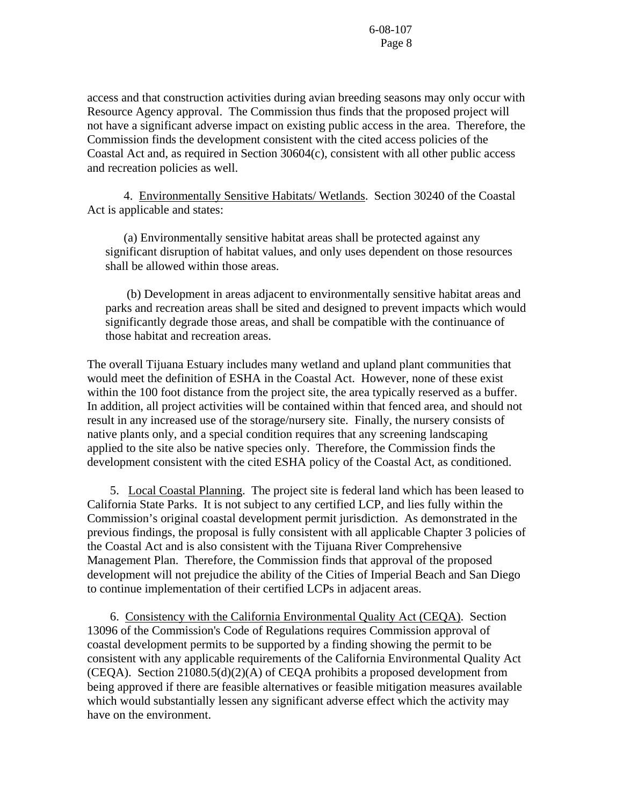access and that construction activities during avian breeding seasons may only occur with Resource Agency approval. The Commission thus finds that the proposed project will not have a significant adverse impact on existing public access in the area. Therefore, the Commission finds the development consistent with the cited access policies of the Coastal Act and, as required in Section 30604(c), consistent with all other public access and recreation policies as well.

 4. Environmentally Sensitive Habitats/ Wetlands. Section 30240 of the Coastal Act is applicable and states:

 (a) Environmentally sensitive habitat areas shall be protected against any significant disruption of habitat values, and only uses dependent on those resources shall be allowed within those areas.

 (b) Development in areas adjacent to environmentally sensitive habitat areas and parks and recreation areas shall be sited and designed to prevent impacts which would significantly degrade those areas, and shall be compatible with the continuance of those habitat and recreation areas.

The overall Tijuana Estuary includes many wetland and upland plant communities that would meet the definition of ESHA in the Coastal Act. However, none of these exist within the 100 foot distance from the project site, the area typically reserved as a buffer. In addition, all project activities will be contained within that fenced area, and should not result in any increased use of the storage/nursery site. Finally, the nursery consists of native plants only, and a special condition requires that any screening landscaping applied to the site also be native species only. Therefore, the Commission finds the development consistent with the cited ESHA policy of the Coastal Act, as conditioned.

 5. Local Coastal Planning. The project site is federal land which has been leased to California State Parks. It is not subject to any certified LCP, and lies fully within the Commission's original coastal development permit jurisdiction. As demonstrated in the previous findings, the proposal is fully consistent with all applicable Chapter 3 policies of the Coastal Act and is also consistent with the Tijuana River Comprehensive Management Plan. Therefore, the Commission finds that approval of the proposed development will not prejudice the ability of the Cities of Imperial Beach and San Diego to continue implementation of their certified LCPs in adjacent areas.

 6. Consistency with the California Environmental Quality Act (CEQA). Section 13096 of the Commission's Code of Regulations requires Commission approval of coastal development permits to be supported by a finding showing the permit to be consistent with any applicable requirements of the California Environmental Quality Act (CEQA). Section 21080.5(d)(2)(A) of CEQA prohibits a proposed development from being approved if there are feasible alternatives or feasible mitigation measures available which would substantially lessen any significant adverse effect which the activity may have on the environment.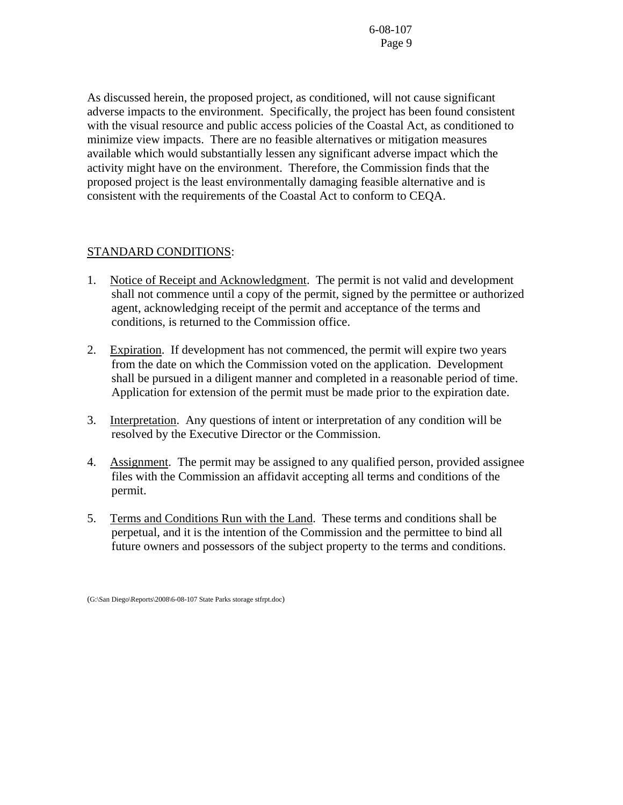As discussed herein, the proposed project, as conditioned, will not cause significant adverse impacts to the environment. Specifically, the project has been found consistent with the visual resource and public access policies of the Coastal Act, as conditioned to minimize view impacts. There are no feasible alternatives or mitigation measures available which would substantially lessen any significant adverse impact which the activity might have on the environment. Therefore, the Commission finds that the proposed project is the least environmentally damaging feasible alternative and is consistent with the requirements of the Coastal Act to conform to CEQA.

## STANDARD CONDITIONS:

- 1. Notice of Receipt and Acknowledgment. The permit is not valid and development shall not commence until a copy of the permit, signed by the permittee or authorized agent, acknowledging receipt of the permit and acceptance of the terms and conditions, is returned to the Commission office.
- 2. Expiration. If development has not commenced, the permit will expire two years from the date on which the Commission voted on the application. Development shall be pursued in a diligent manner and completed in a reasonable period of time. Application for extension of the permit must be made prior to the expiration date.
- 3. Interpretation. Any questions of intent or interpretation of any condition will be resolved by the Executive Director or the Commission.
- 4. Assignment. The permit may be assigned to any qualified person, provided assignee files with the Commission an affidavit accepting all terms and conditions of the permit.
- 5. Terms and Conditions Run with the Land. These terms and conditions shall be perpetual, and it is the intention of the Commission and the permittee to bind all future owners and possessors of the subject property to the terms and conditions.

<sup>(</sup>G:\San Diego\Reports\2008\6-08-107 State Parks storage stfrpt.doc)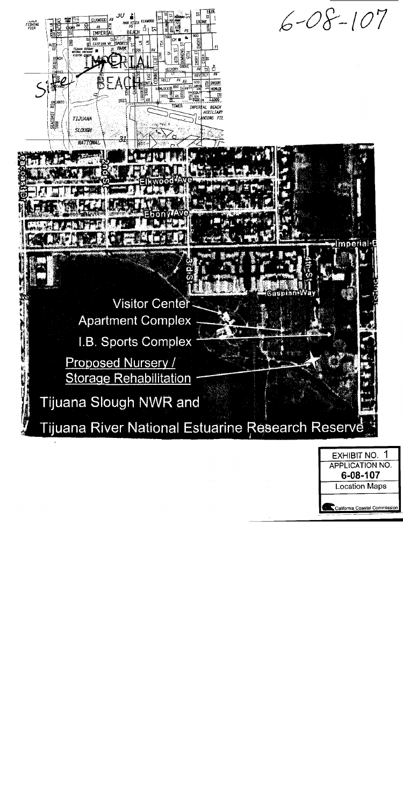

| <b>EXHIBIT NO.</b>            |  |
|-------------------------------|--|
| <b>APPLICATION NO.</b>        |  |
| 6-08-107                      |  |
| <b>Location Maps</b>          |  |
| California Coastal Commission |  |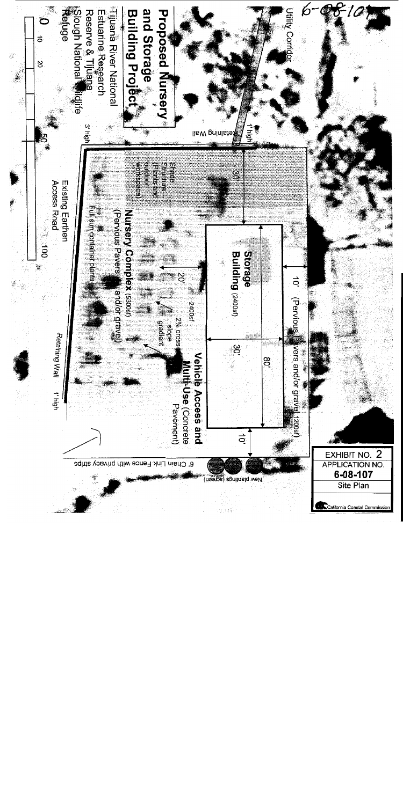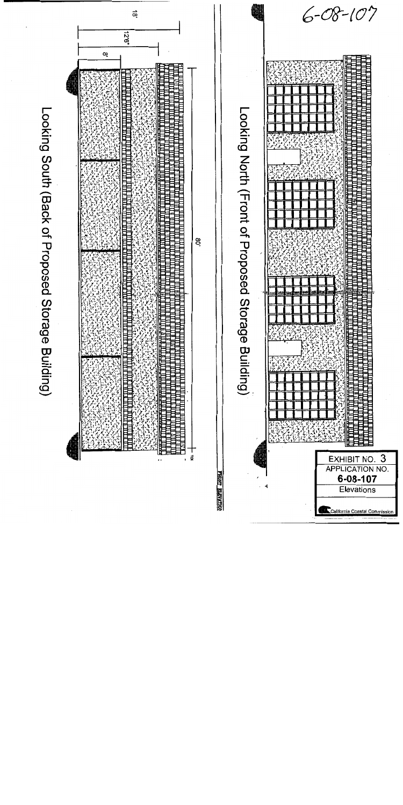

Looking South (Back of Proposed Storage Building)